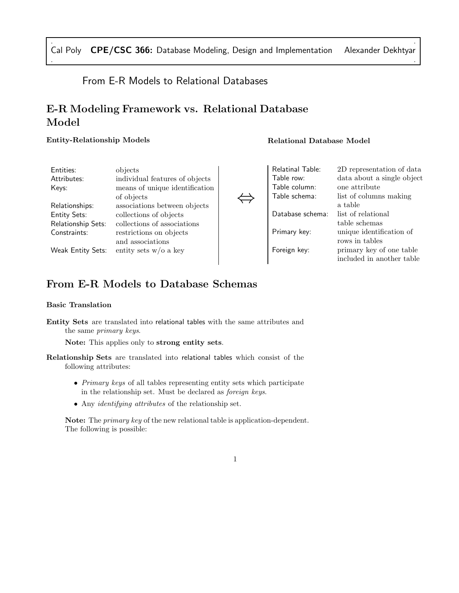# From E-R Models to Relational Databases

# E-R Modeling Framework vs. Relational Database Model

# Entity-Relationship Models

| Entities:           | objects                        |  |
|---------------------|--------------------------------|--|
| Attributes:         | individual features of objects |  |
| Kevs:               | means of unique identification |  |
|                     | of objects                     |  |
| Relationships:      | associations between objects   |  |
| <b>Entity Sets:</b> | collections of objects         |  |
| Relationship Sets:  | collections of associations    |  |
| Constraints:        | restrictions on objects        |  |
|                     | and associations               |  |
| Weak Entity Sets:   | entity sets $w/o$ a key        |  |
|                     |                                |  |
|                     |                                |  |

Relational Database Model

| Relatinal Table: | 2D representation of data  |
|------------------|----------------------------|
| Table row:       | data about a single object |
| Table column:    | one attribute              |
| Table schema:    | list of columns making     |
|                  | a table                    |
| Database schema: | list of relational         |
|                  | table schemas              |
| Primary key:     | unique identification of   |
|                  | rows in tables             |
| Foreign key:     | primary key of one table   |
|                  | included in another table  |
|                  |                            |

# From E-R Models to Database Schemas

## Basic Translation

Entity Sets are translated into relational tables with the same attributes and the same primary keys.

Note: This applies only to strong entity sets.

- Relationship Sets are translated into relational tables which consist of the following attributes:
	- Primary keys of all tables representing entity sets which participate in the relationship set. Must be declared as foreign keys.
	- Any identifying attributes of the relationship set.

Note: The *primary key* of the new relational table is application-dependent. The following is possible:

# 1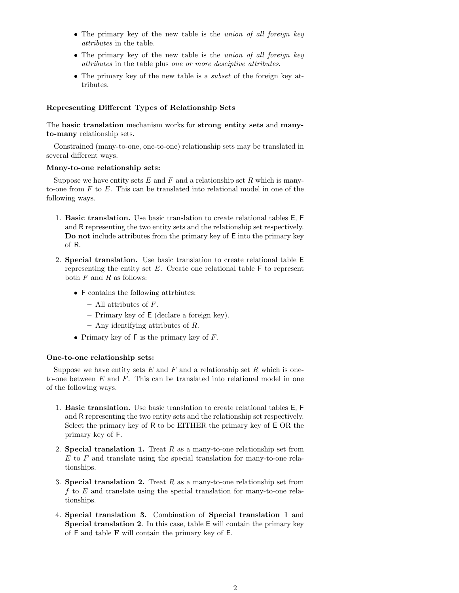- The primary key of the new table is the *union of all foreign key* attributes in the table.
- The primary key of the new table is the *union of all foreign key* attributes in the table plus one or more desciptive attributes.
- The primary key of the new table is a *subset* of the foreign key attributes.

### Representing Different Types of Relationship Sets

The basic translation mechanism works for strong entity sets and manyto-many relationship sets.

Constrained (many-to-one, one-to-one) relationship sets may be translated in several different ways.

#### Many-to-one relationship sets:

Suppose we have entity sets  $E$  and  $F$  and a relationship set  $R$  which is manyto-one from  $F$  to  $E$ . This can be translated into relational model in one of the following ways.

- 1. Basic translation. Use basic translation to create relational tables E, F and R representing the two entity sets and the relationship set respectively. Do not include attributes from the primary key of E into the primary key of R.
- 2. Special translation. Use basic translation to create relational table E representing the entity set  $E$ . Create one relational table  $\mathsf F$  to represent both  $F$  and  $R$  as follows:
	- F contains the following attrbiutes:
		- All attributes of F.
		- Primary key of E (declare a foreign key).
		- Any identifying attributes of R.
	- Primary key of  $F$  is the primary key of  $F$ .

#### One-to-one relationship sets:

Suppose we have entity sets  $E$  and  $F$  and a relationship set  $R$  which is oneto-one between  $E$  and  $F$ . This can be translated into relational model in one of the following ways.

- 1. Basic translation. Use basic translation to create relational tables E, F and R representing the two entity sets and the relationship set respectively. Select the primary key of R to be EITHER the primary key of E OR the primary key of F.
- 2. Special translation 1. Treat  $R$  as a many-to-one relationship set from  $E$  to  $F$  and translate using the special translation for many-to-one relationships.
- 3. Special translation 2. Treat  $R$  as a many-to-one relationship set from f to  $E$  and translate using the special translation for many-to-one relationships.
- 4. Special translation 3. Combination of Special translation 1 and Special translation 2. In this case, table E will contain the primary key of  $F$  and table  $F$  will contain the primary key of  $E$ .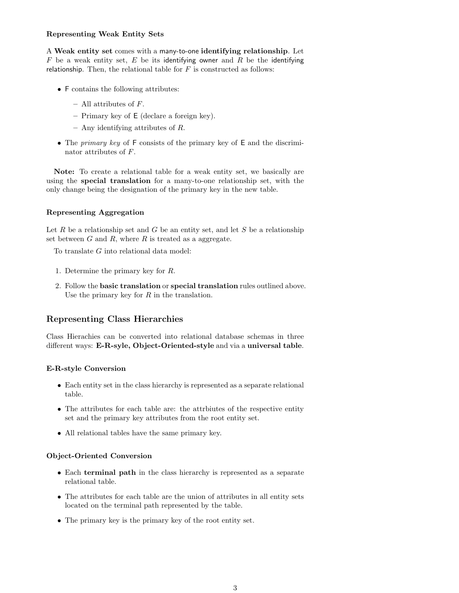## Representing Weak Entity Sets

A Weak entity set comes with a many-to-one identifying relationship. Let  $F$  be a weak entity set,  $E$  be its identifying owner and  $R$  be the identifying relationship. Then, the relational table for  $F$  is constructed as follows:

- F contains the following attributes:
	- All attributes of F.
	- Primary key of E (declare a foreign key).
	- Any identifying attributes of R.
- The *primary key* of F consists of the primary key of E and the discriminator attributes of F.

Note: To create a relational table for a weak entity set, we basically are using the special translation for a many-to-one relationship set, with the only change being the designation of the primary key in the new table.

## Representing Aggregation

Let  $R$  be a relationship set and  $G$  be an entity set, and let  $S$  be a relationship set between  $G$  and  $R$ , where  $R$  is treated as a aggregate.

To translate G into relational data model:

- 1. Determine the primary key for R.
- 2. Follow the basic translation or special translation rules outlined above. Use the primary key for  $R$  in the translation.

# Representing Class Hierarchies

Class Hierachies can be converted into relational database schemas in three different ways: E-R-syle, Object-Oriented-style and via a universal table.

### E-R-style Conversion

- Each entity set in the class hierarchy is represented as a separate relational table.
- The attributes for each table are: the attrbiutes of the respective entity set and the primary key attributes from the root entity set.
- All relational tables have the same primary key.

### Object-Oriented Conversion

- Each terminal path in the class hierarchy is represented as a separate relational table.
- The attributes for each table are the union of attributes in all entity sets located on the terminal path represented by the table.
- The primary key is the primary key of the root entity set.